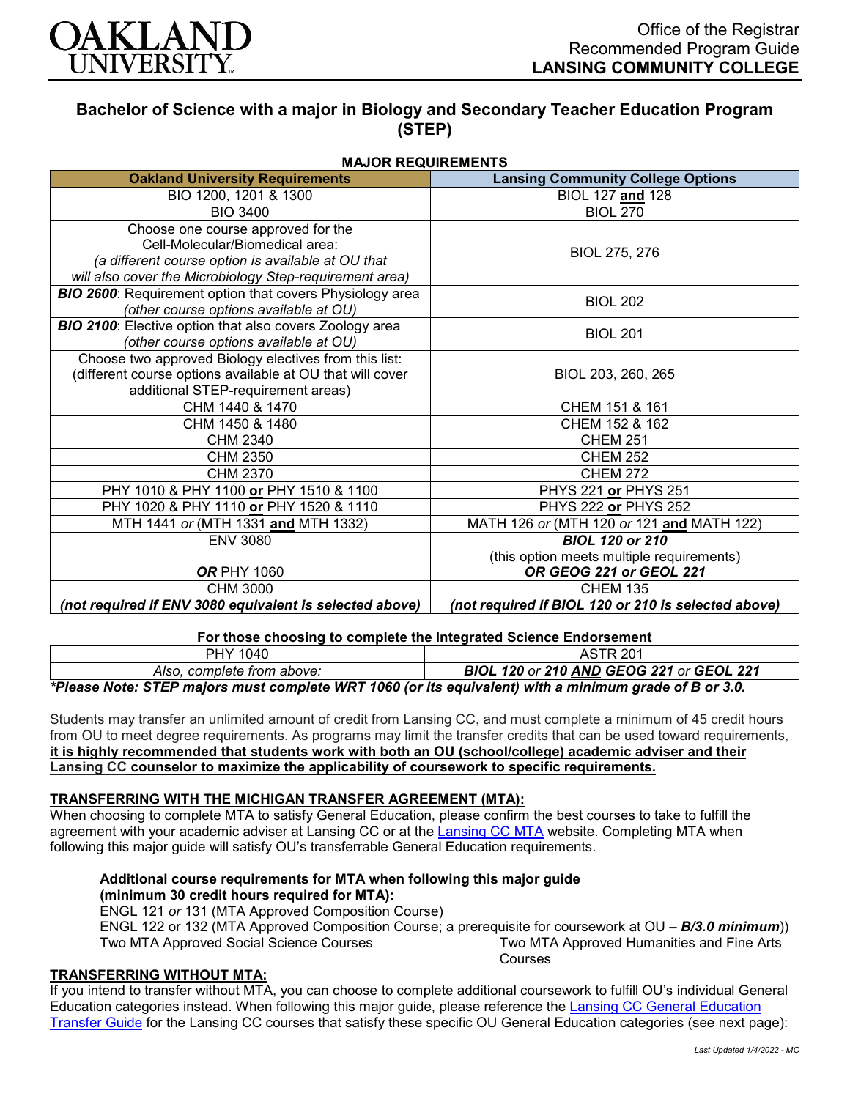

# **Bachelor of Science with a major in Biology and Secondary Teacher Education Program (STEP)**

| <b>MAJOR REQUIREMENTS</b>                                       |                                                     |
|-----------------------------------------------------------------|-----------------------------------------------------|
| <b>Oakland University Requirements</b>                          | <b>Lansing Community College Options</b>            |
| BIO 1200, 1201 & 1300                                           | BIOL 127 and 128                                    |
| <b>BIO 3400</b>                                                 | <b>BIOL 270</b>                                     |
| Choose one course approved for the                              |                                                     |
| Cell-Molecular/Biomedical area:                                 | BIOL 275, 276                                       |
| (a different course option is available at OU that              |                                                     |
| will also cover the Microbiology Step-requirement area)         |                                                     |
| <b>BIO 2600:</b> Requirement option that covers Physiology area | <b>BIOL 202</b>                                     |
| (other course options available at OU)                          |                                                     |
| <b>BIO 2100:</b> Elective option that also covers Zoology area  | <b>BIOL 201</b>                                     |
| (other course options available at OU)                          |                                                     |
| Choose two approved Biology electives from this list:           |                                                     |
| (different course options available at OU that will cover       | BIOL 203, 260, 265                                  |
| additional STEP-requirement areas)                              |                                                     |
| CHM 1440 & 1470                                                 | CHEM 151 & 161                                      |
| CHM 1450 & 1480                                                 | CHEM 152 & 162                                      |
| CHM 2340                                                        | <b>CHEM 251</b>                                     |
| CHM 2350                                                        | <b>CHEM 252</b>                                     |
| CHM 2370                                                        | <b>CHEM 272</b>                                     |
| PHY 1010 & PHY 1100 or PHY 1510 & 1100                          | PHYS 221 or PHYS 251                                |
| PHY 1020 & PHY 1110 or PHY 1520 & 1110                          | PHYS 222 or PHYS 252                                |
| MTH 1441 or (MTH 1331 and MTH 1332)                             | MATH 126 or (MTH 120 or 121 and MATH 122)           |
| <b>ENV 3080</b>                                                 | <b>BIOL 120 or 210</b>                              |
|                                                                 | (this option meets multiple requirements)           |
| <b>OR PHY 1060</b>                                              | OR GEOG 221 or GEOL 221                             |
| CHM 3000                                                        | <b>CHEM 135</b>                                     |
| (not required if ENV 3080 equivalent is selected above)         | (not required if BIOL 120 or 210 is selected above) |

#### **For those choosing to complete the Integrated Science Endorsement**

| PHY 1040                                                                                               | <b>ASTR 201</b>                                 |
|--------------------------------------------------------------------------------------------------------|-------------------------------------------------|
| Also, complete from above:                                                                             | <b>BIOL 120 or 210 AND GEOG 221 or GEOL 221</b> |
| *Please Note: STEP majors must complete WRT 1060 (or its equivalent) with a minimum grade of B or 3.0. |                                                 |

Students may transfer an unlimited amount of credit from Lansing CC, and must complete a minimum of 45 credit hours from OU to meet degree requirements. As programs may limit the transfer credits that can be used toward requirements, **it is highly recommended that students work with both an OU (school/college) academic adviser and their Lansing CC counselor to maximize the applicability of coursework to specific requirements.**

## **TRANSFERRING WITH THE MICHIGAN TRANSFER AGREEMENT (MTA):**

When choosing to complete MTA to satisfy General Education, please confirm the best courses to take to fulfill the agreement with your academic adviser at Lansing CC or at the [Lansing CC MTA](https://www.lcc.edu/academics/transfer/mta.html) website. Completing MTA when following this major guide will satisfy OU's transferrable General Education requirements.

#### **Additional course requirements for MTA when following this major guide (minimum 30 credit hours required for MTA):**

ENGL 121 *or* 131 (MTA Approved Composition Course)

ENGL 122 or 132 (MTA Approved Composition Course; a prerequisite for coursework at OU *– B/3.0 minimum*)) Two MTA Approved Social Science Courses Two MTA Approved Humanities and Fine Arts Courses

## **TRANSFERRING WITHOUT MTA:**

If you intend to transfer without MTA, you can choose to complete additional coursework to fulfill OU's individual General Education categories instead. When following this major guide, please reference the [Lansing CC General Education](https://www.oakland.edu/Assets/Oakland/program-guides/lansing-community-college/university-general-education-requirements/Lansing%20Gen%20Ed.pdf)  [Transfer Guide](https://www.oakland.edu/Assets/Oakland/program-guides/lansing-community-college/university-general-education-requirements/Lansing%20Gen%20Ed.pdf) for the Lansing CC courses that satisfy these specific OU General Education categories (see next page):